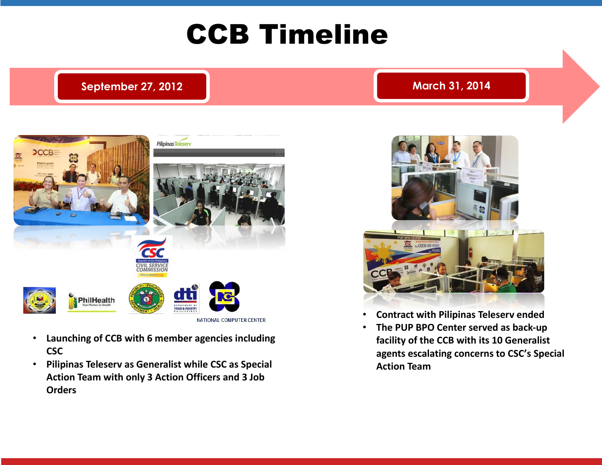# CCB Timeline

## **September 27, 2012 March 31, 2014**



- **Launching of CCB with 6 member agencies including CSC**
- **Pilipinas Teleserv as Generalist while CSC as Special Action Team with only 3 Action Officers and 3 Job Orders**



- **Contract with Pilipinas Teleserv ended**
- **The PUP BPO Center served as back-up facility of the CCB with its 10 Generalist agents escalating concerns to CSC's Special Action Team**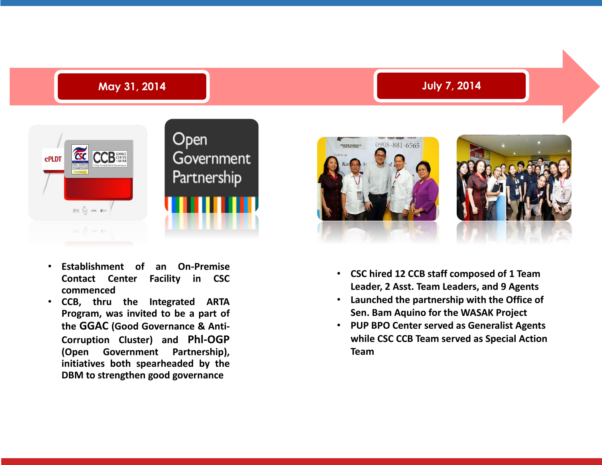



- **CSC hired 12 CCB staff composed of 1 Team Leader, 2 Asst. Team Leaders, and 9 Agents**
- **Launched the partnership with the Office of Sen. Bam Aquino for the WASAK Project**
- **PUP BPO Center served as Generalist Agents while CSC CCB Team served as Special Action Team**



- **Establishment of an On-Premise Contact Center Facility in CSC commenced**
- **CCB, thru the Integrated ARTA Program, was invited to be a part of the GGAC (Good Governance & Anti-Corruption Cluster) and Phl-OGP (Open Government Partnership), initiatives both spearheaded by the DBM to strengthen good governance**